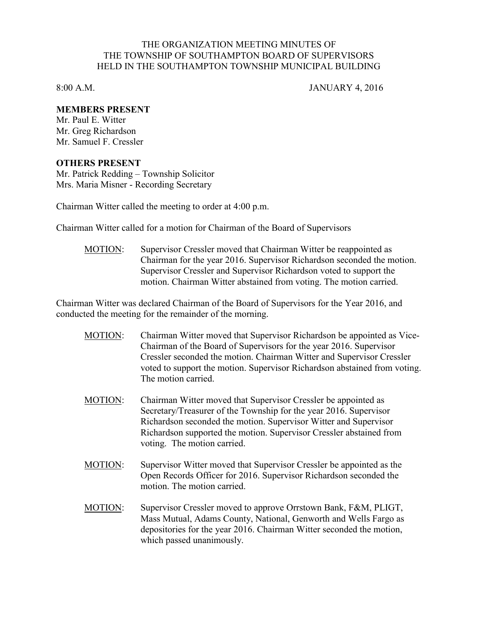## THE ORGANIZATION MEETING MINUTES OF THE TOWNSHIP OF SOUTHAMPTON BOARD OF SUPERVISORS HELD IN THE SOUTHAMPTON TOWNSHIP MUNICIPAL BUILDING

8:00 A.M. JANUARY 4, 2016

## **MEMBERS PRESENT**

Mr. Paul E. Witter Mr. Greg Richardson Mr. Samuel F. Cressler

## **OTHERS PRESENT**

Mr. Patrick Redding – Township Solicitor Mrs. Maria Misner - Recording Secretary

Chairman Witter called the meeting to order at 4:00 p.m.

Chairman Witter called for a motion for Chairman of the Board of Supervisors

MOTION: Supervisor Cressler moved that Chairman Witter be reappointed as Chairman for the year 2016. Supervisor Richardson seconded the motion. Supervisor Cressler and Supervisor Richardson voted to support the motion. Chairman Witter abstained from voting. The motion carried.

Chairman Witter was declared Chairman of the Board of Supervisors for the Year 2016, and conducted the meeting for the remainder of the morning.

- MOTION: Chairman Witter moved that Supervisor Richardson be appointed as Vice-Chairman of the Board of Supervisors for the year 2016. Supervisor Cressler seconded the motion. Chairman Witter and Supervisor Cressler voted to support the motion. Supervisor Richardson abstained from voting. The motion carried.
- MOTION: Chairman Witter moved that Supervisor Cressler be appointed as Secretary/Treasurer of the Township for the year 2016. Supervisor Richardson seconded the motion. Supervisor Witter and Supervisor Richardson supported the motion. Supervisor Cressler abstained from voting. The motion carried.
- MOTION: Supervisor Witter moved that Supervisor Cressler be appointed as the Open Records Officer for 2016. Supervisor Richardson seconded the motion. The motion carried.
- MOTION: Supervisor Cressler moved to approve Orrstown Bank, F&M, PLIGT, Mass Mutual, Adams County, National, Genworth and Wells Fargo as depositories for the year 2016. Chairman Witter seconded the motion, which passed unanimously.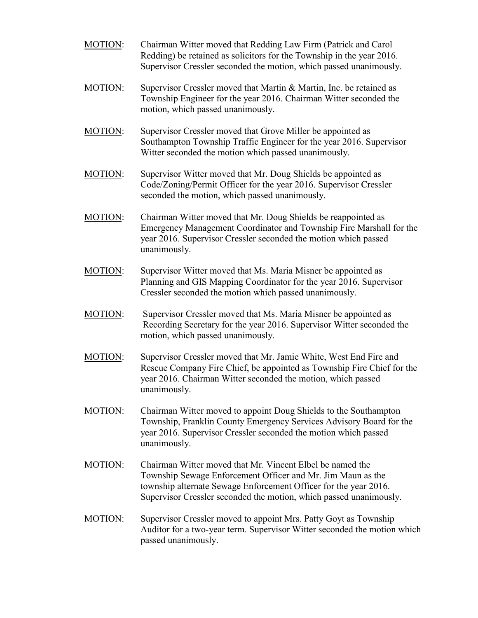- MOTION: Chairman Witter moved that Redding Law Firm (Patrick and Carol Redding) be retained as solicitors for the Township in the year 2016. Supervisor Cressler seconded the motion, which passed unanimously.
- MOTION: Supervisor Cressler moved that Martin & Martin, Inc. be retained as Township Engineer for the year 2016. Chairman Witter seconded the motion, which passed unanimously.
- MOTION: Supervisor Cressler moved that Grove Miller be appointed as Southampton Township Traffic Engineer for the year 2016. Supervisor Witter seconded the motion which passed unanimously.
- MOTION: Supervisor Witter moved that Mr. Doug Shields be appointed as Code/Zoning/Permit Officer for the year 2016. Supervisor Cressler seconded the motion, which passed unanimously.
- MOTION: Chairman Witter moved that Mr. Doug Shields be reappointed as Emergency Management Coordinator and Township Fire Marshall for the year 2016. Supervisor Cressler seconded the motion which passed unanimously.
- MOTION: Supervisor Witter moved that Ms. Maria Misner be appointed as Planning and GIS Mapping Coordinator for the year 2016. Supervisor Cressler seconded the motion which passed unanimously.
- MOTION: Supervisor Cressler moved that Ms. Maria Misner be appointed as Recording Secretary for the year 2016. Supervisor Witter seconded the motion, which passed unanimously.
- MOTION: Supervisor Cressler moved that Mr. Jamie White, West End Fire and Rescue Company Fire Chief, be appointed as Township Fire Chief for the year 2016. Chairman Witter seconded the motion, which passed unanimously.
- MOTION: Chairman Witter moved to appoint Doug Shields to the Southampton Township, Franklin County Emergency Services Advisory Board for the year 2016. Supervisor Cressler seconded the motion which passed unanimously.
- MOTION: Chairman Witter moved that Mr. Vincent Elbel be named the Township Sewage Enforcement Officer and Mr. Jim Maun as the township alternate Sewage Enforcement Officer for the year 2016. Supervisor Cressler seconded the motion, which passed unanimously.
- MOTION: Supervisor Cressler moved to appoint Mrs. Patty Goyt as Township Auditor for a two-year term. Supervisor Witter seconded the motion which passed unanimously.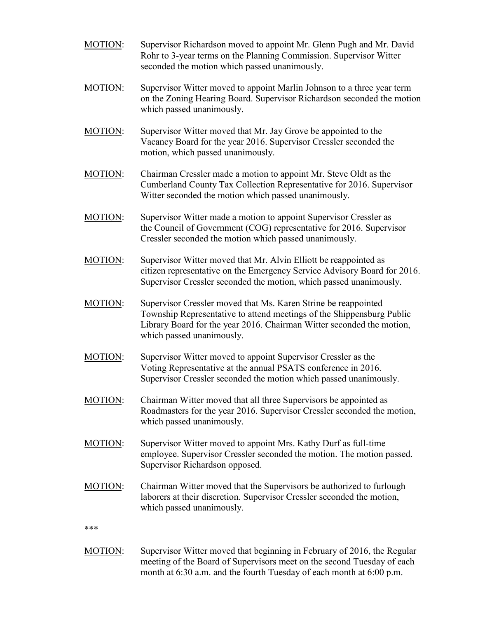- MOTION: Supervisor Richardson moved to appoint Mr. Glenn Pugh and Mr. David Rohr to 3-year terms on the Planning Commission. Supervisor Witter seconded the motion which passed unanimously.
- MOTION: Supervisor Witter moved to appoint Marlin Johnson to a three year term on the Zoning Hearing Board. Supervisor Richardson seconded the motion which passed unanimously.
- MOTION: Supervisor Witter moved that Mr. Jay Grove be appointed to the Vacancy Board for the year 2016. Supervisor Cressler seconded the motion, which passed unanimously.
- MOTION: Chairman Cressler made a motion to appoint Mr. Steve Oldt as the Cumberland County Tax Collection Representative for 2016. Supervisor Witter seconded the motion which passed unanimously.
- MOTION: Supervisor Witter made a motion to appoint Supervisor Cressler as the Council of Government (COG) representative for 2016. Supervisor Cressler seconded the motion which passed unanimously.
- MOTION: Supervisor Witter moved that Mr. Alvin Elliott be reappointed as citizen representative on the Emergency Service Advisory Board for 2016. Supervisor Cressler seconded the motion, which passed unanimously.
- MOTION: Supervisor Cressler moved that Ms. Karen Strine be reappointed Township Representative to attend meetings of the Shippensburg Public Library Board for the year 2016. Chairman Witter seconded the motion, which passed unanimously.
- MOTION: Supervisor Witter moved to appoint Supervisor Cressler as the Voting Representative at the annual PSATS conference in 2016. Supervisor Cressler seconded the motion which passed unanimously.
- MOTION: Chairman Witter moved that all three Supervisors be appointed as Roadmasters for the year 2016. Supervisor Cressler seconded the motion, which passed unanimously.
- MOTION: Supervisor Witter moved to appoint Mrs. Kathy Durf as full-time employee. Supervisor Cressler seconded the motion. The motion passed. Supervisor Richardson opposed.
- MOTION: Chairman Witter moved that the Supervisors be authorized to furlough laborers at their discretion. Supervisor Cressler seconded the motion, which passed unanimously.

\*\*\*

MOTION: Supervisor Witter moved that beginning in February of 2016, the Regular meeting of the Board of Supervisors meet on the second Tuesday of each month at 6:30 a.m. and the fourth Tuesday of each month at 6:00 p.m.